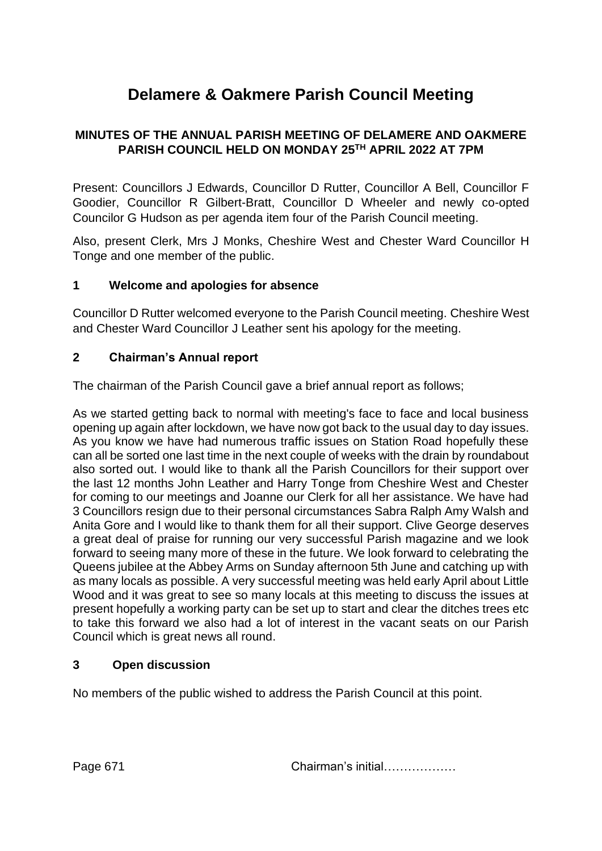# **Delamere & Oakmere Parish Council Meeting**

## **MINUTES OF THE ANNUAL PARISH MEETING OF DELAMERE AND OAKMERE PARISH COUNCIL HELD ON MONDAY 25TH APRIL 2022 AT 7PM**

Present: Councillors J Edwards, Councillor D Rutter, Councillor A Bell, Councillor F Goodier, Councillor R Gilbert-Bratt, Councillor D Wheeler and newly co-opted Councilor G Hudson as per agenda item four of the Parish Council meeting.

Also, present Clerk, Mrs J Monks, Cheshire West and Chester Ward Councillor H Tonge and one member of the public.

## **1 Welcome and apologies for absence**

Councillor D Rutter welcomed everyone to the Parish Council meeting. Cheshire West and Chester Ward Councillor J Leather sent his apology for the meeting.

#### **2 Chairman's Annual report**

The chairman of the Parish Council gave a brief annual report as follows;

As we started getting back to normal with meeting's face to face and local business opening up again after lockdown, we have now got back to the usual day to day issues. As you know we have had numerous traffic issues on Station Road hopefully these can all be sorted one last time in the next couple of weeks with the drain by roundabout also sorted out. I would like to thank all the Parish Councillors for their support over the last 12 months John Leather and Harry Tonge from Cheshire West and Chester for coming to our meetings and Joanne our Clerk for all her assistance. We have had 3 Councillors resign due to their personal circumstances Sabra Ralph Amy Walsh and Anita Gore and I would like to thank them for all their support. Clive George deserves a great deal of praise for running our very successful Parish magazine and we look forward to seeing many more of these in the future. We look forward to celebrating the Queens jubilee at the Abbey Arms on Sunday afternoon 5th June and catching up with as many locals as possible. A very successful meeting was held early April about Little Wood and it was great to see so many locals at this meeting to discuss the issues at present hopefully a working party can be set up to start and clear the ditches trees etc to take this forward we also had a lot of interest in the vacant seats on our Parish Council which is great news all round.

## **3 Open discussion**

No members of the public wished to address the Parish Council at this point.

Page 671 Chairman's initial………………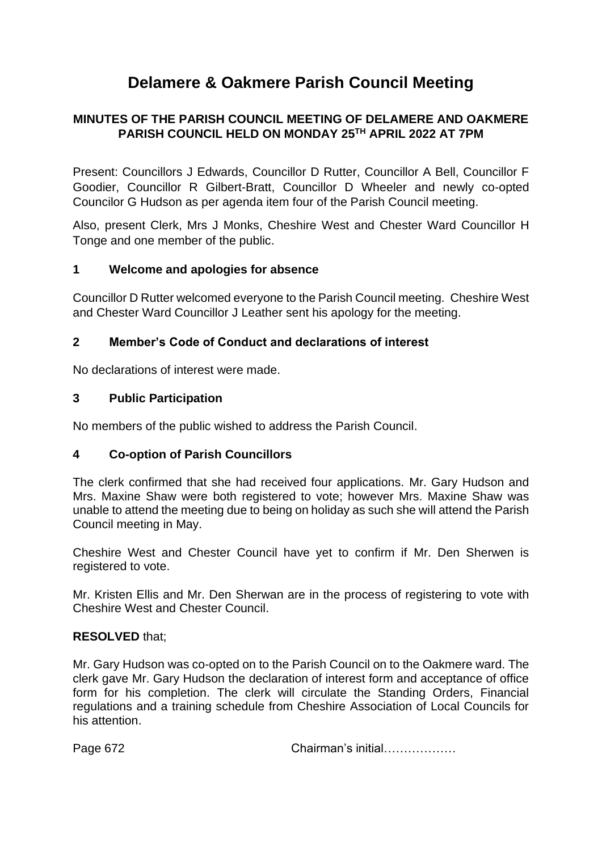# **Delamere & Oakmere Parish Council Meeting**

## **MINUTES OF THE PARISH COUNCIL MEETING OF DELAMERE AND OAKMERE PARISH COUNCIL HELD ON MONDAY 25TH APRIL 2022 AT 7PM**

Present: Councillors J Edwards, Councillor D Rutter, Councillor A Bell, Councillor F Goodier, Councillor R Gilbert-Bratt, Councillor D Wheeler and newly co-opted Councilor G Hudson as per agenda item four of the Parish Council meeting.

Also, present Clerk, Mrs J Monks, Cheshire West and Chester Ward Councillor H Tonge and one member of the public.

#### **1 Welcome and apologies for absence**

Councillor D Rutter welcomed everyone to the Parish Council meeting. Cheshire West and Chester Ward Councillor J Leather sent his apology for the meeting.

#### **2 Member's Code of Conduct and declarations of interest**

No declarations of interest were made.

#### **3 Public Participation**

No members of the public wished to address the Parish Council.

#### **4 Co-option of Parish Councillors**

The clerk confirmed that she had received four applications. Mr. Gary Hudson and Mrs. Maxine Shaw were both registered to vote; however Mrs. Maxine Shaw was unable to attend the meeting due to being on holiday as such she will attend the Parish Council meeting in May.

Cheshire West and Chester Council have yet to confirm if Mr. Den Sherwen is registered to vote.

Mr. Kristen Ellis and Mr. Den Sherwan are in the process of registering to vote with Cheshire West and Chester Council.

#### **RESOLVED** that;

Mr. Gary Hudson was co-opted on to the Parish Council on to the Oakmere ward. The clerk gave Mr. Gary Hudson the declaration of interest form and acceptance of office form for his completion. The clerk will circulate the Standing Orders, Financial regulations and a training schedule from Cheshire Association of Local Councils for his attention.

Page 672 Chairman's initial………………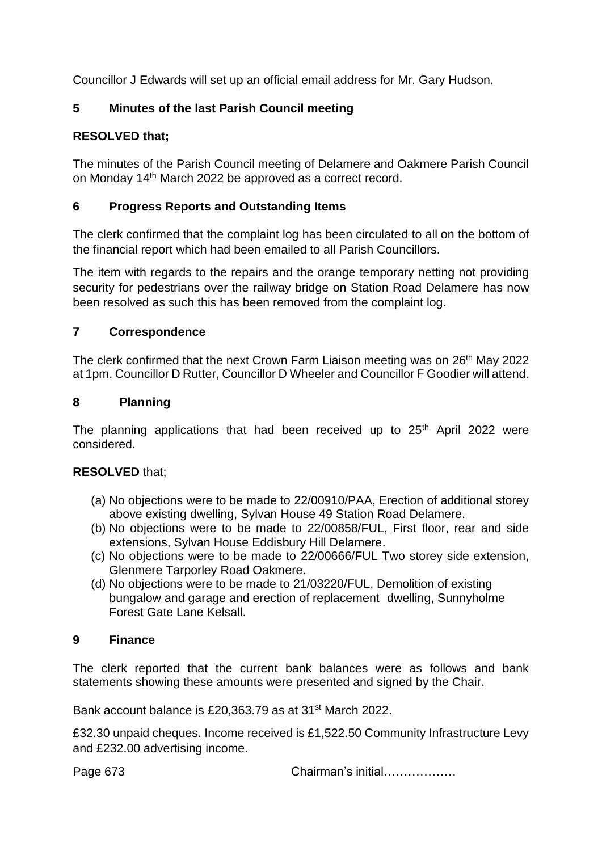Councillor J Edwards will set up an official email address for Mr. Gary Hudson.

# **5 Minutes of the last Parish Council meeting**

# **RESOLVED that;**

The minutes of the Parish Council meeting of Delamere and Oakmere Parish Council on Monday 14th March 2022 be approved as a correct record.

## **6 Progress Reports and Outstanding Items**

The clerk confirmed that the complaint log has been circulated to all on the bottom of the financial report which had been emailed to all Parish Councillors.

The item with regards to the repairs and the orange temporary netting not providing security for pedestrians over the railway bridge on Station Road Delamere has now been resolved as such this has been removed from the complaint log.

## **7 Correspondence**

The clerk confirmed that the next Crown Farm Liaison meeting was on 26<sup>th</sup> May 2022 at 1pm. Councillor D Rutter, Councillor D Wheeler and Councillor F Goodier will attend.

## **8 Planning**

The planning applications that had been received up to  $25<sup>th</sup>$  April 2022 were considered.

# **RESOLVED** that;

- (a) No objections were to be made to 22/00910/PAA, Erection of additional storey above existing dwelling, Sylvan House 49 Station Road Delamere.
- (b) No objections were to be made to 22/00858/FUL, First floor, rear and side extensions, Sylvan House Eddisbury Hill Delamere.
- (c) No objections were to be made to 22/00666/FUL Two storey side extension, Glenmere Tarporley Road Oakmere.
- (d) No objections were to be made to 21/03220/FUL, Demolition of existing bungalow and garage and erection of replacement dwelling, Sunnyholme Forest Gate Lane Kelsall.

## **9 Finance**

The clerk reported that the current bank balances were as follows and bank statements showing these amounts were presented and signed by the Chair.

Bank account balance is £20,363.79 as at 31<sup>st</sup> March 2022.

£32.30 unpaid cheques. Income received is £1,522.50 Community Infrastructure Levy and £232.00 advertising income.

Page 673 Chairman's initial………………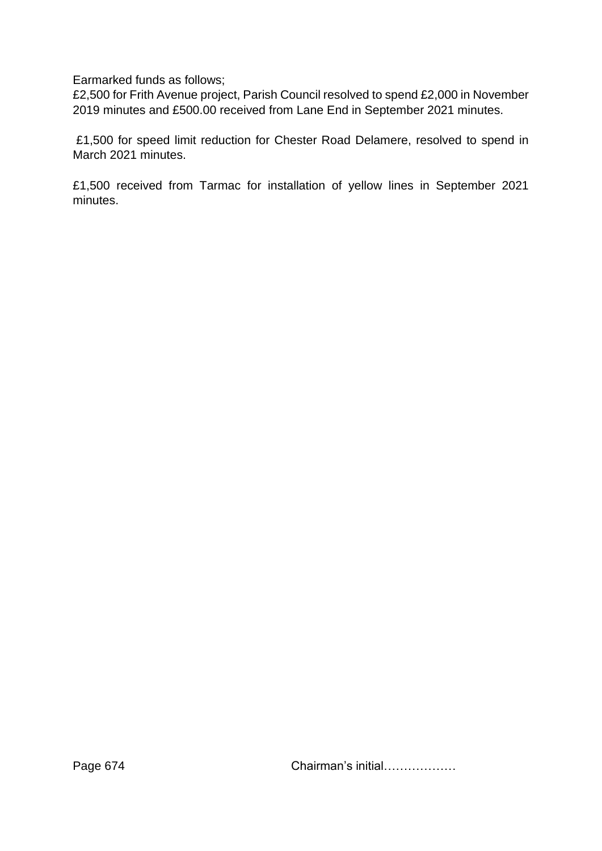Earmarked funds as follows;

£2,500 for Frith Avenue project, Parish Council resolved to spend £2,000 in November 2019 minutes and £500.00 received from Lane End in September 2021 minutes.

£1,500 for speed limit reduction for Chester Road Delamere, resolved to spend in March 2021 minutes.

£1,500 received from Tarmac for installation of yellow lines in September 2021 minutes.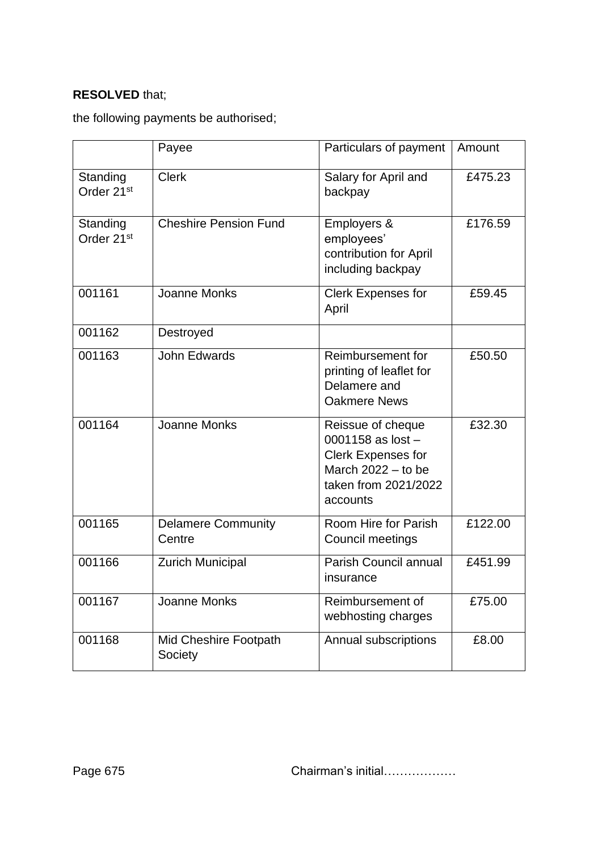## **RESOLVED** that;

the following payments be authorised;

|                                    | Payee                               | Particulars of payment                                                                                                            | Amount  |
|------------------------------------|-------------------------------------|-----------------------------------------------------------------------------------------------------------------------------------|---------|
| Standing<br>Order 21 <sup>st</sup> | <b>Clerk</b>                        | Salary for April and<br>backpay                                                                                                   | £475.23 |
| Standing<br>Order 21 <sup>st</sup> | <b>Cheshire Pension Fund</b>        | Employers &<br>employees'<br>contribution for April<br>including backpay                                                          | £176.59 |
| 001161                             | Joanne Monks                        | <b>Clerk Expenses for</b><br>April                                                                                                | £59.45  |
| 001162                             | Destroyed                           |                                                                                                                                   |         |
| 001163                             | John Edwards                        | Reimbursement for<br>printing of leaflet for<br>Delamere and<br><b>Oakmere News</b>                                               | £50.50  |
| 001164                             | Joanne Monks                        | Reissue of cheque<br>0001158 as $lost -$<br><b>Clerk Expenses for</b><br>March $2022 -$ to be<br>taken from 2021/2022<br>accounts | £32.30  |
| 001165                             | <b>Delamere Community</b><br>Centre | Room Hire for Parish<br>Council meetings                                                                                          | £122.00 |
| 001166                             | <b>Zurich Municipal</b>             | Parish Council annual<br>insurance                                                                                                | £451.99 |
| 001167                             | Joanne Monks                        | Reimbursement of<br>webhosting charges                                                                                            | £75.00  |
| 001168                             | Mid Cheshire Footpath<br>Society    | Annual subscriptions                                                                                                              | £8.00   |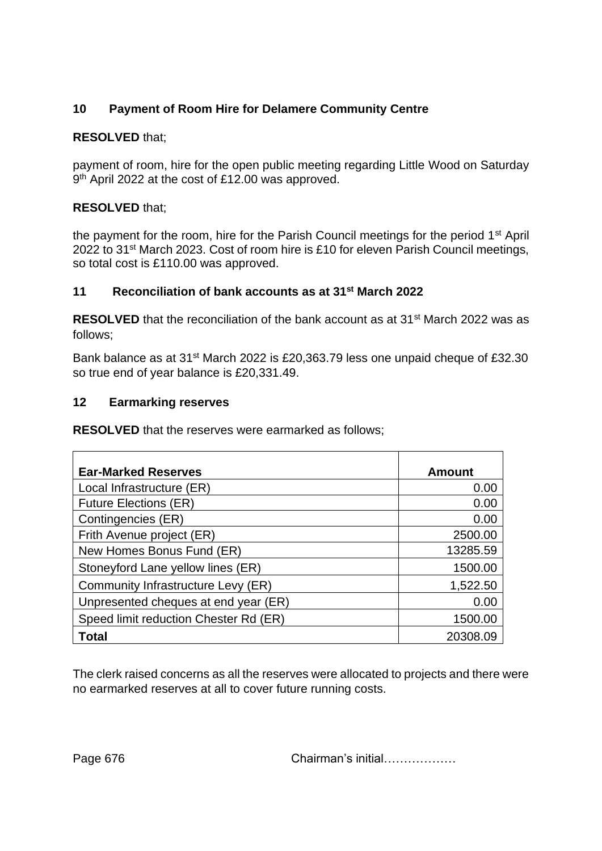# **10 Payment of Room Hire for Delamere Community Centre**

## **RESOLVED** that;

payment of room, hire for the open public meeting regarding Little Wood on Saturday 9<sup>th</sup> April 2022 at the cost of £12.00 was approved.

## **RESOLVED** that;

the payment for the room, hire for the Parish Council meetings for the period 1<sup>st</sup> April 2022 to 31st March 2023. Cost of room hire is £10 for eleven Parish Council meetings, so total cost is £110.00 was approved.

## **11 Reconciliation of bank accounts as at 31st March 2022**

**RESOLVED** that the reconciliation of the bank account as at 31<sup>st</sup> March 2022 was as follows;

Bank balance as at 31<sup>st</sup> March 2022 is £20,363.79 less one unpaid cheque of £32.30 so true end of year balance is £20,331.49.

#### **12 Earmarking reserves**

**RESOLVED** that the reserves were earmarked as follows;

| <b>Ear-Marked Reserves</b>            | <b>Amount</b> |
|---------------------------------------|---------------|
| Local Infrastructure (ER)             | 0.00          |
| <b>Future Elections (ER)</b>          | 0.00          |
| Contingencies (ER)                    | 0.00          |
| Frith Avenue project (ER)             | 2500.00       |
| New Homes Bonus Fund (ER)             | 13285.59      |
| Stoneyford Lane yellow lines (ER)     | 1500.00       |
| Community Infrastructure Levy (ER)    | 1,522.50      |
| Unpresented cheques at end year (ER)  | 0.00          |
| Speed limit reduction Chester Rd (ER) | 1500.00       |
| <b>Total</b>                          | 20308.09      |

The clerk raised concerns as all the reserves were allocated to projects and there were no earmarked reserves at all to cover future running costs.

Page 676 Chairman's initial………………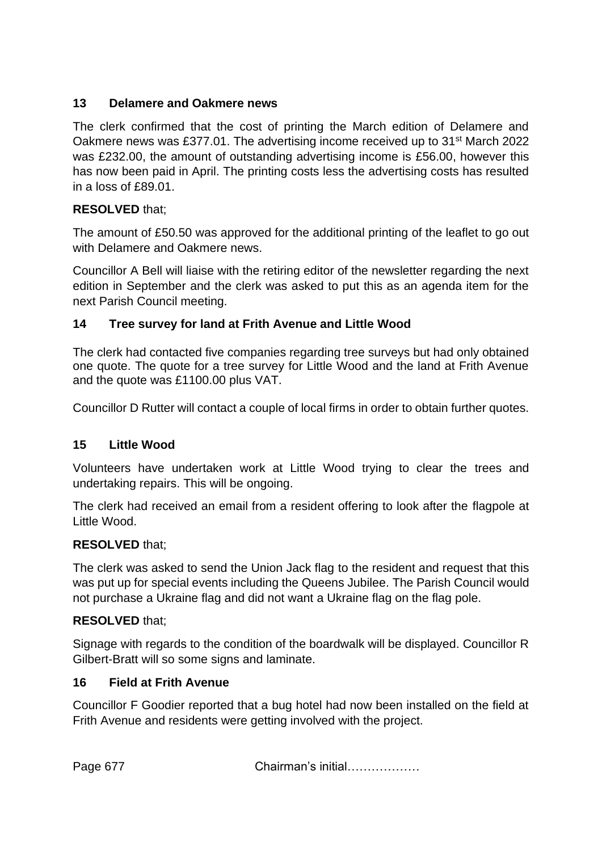## **13 Delamere and Oakmere news**

The clerk confirmed that the cost of printing the March edition of Delamere and Oakmere news was £377.01. The advertising income received up to 31st March 2022 was £232.00, the amount of outstanding advertising income is £56.00, however this has now been paid in April. The printing costs less the advertising costs has resulted in a loss of £89.01.

## **RESOLVED** that;

The amount of £50.50 was approved for the additional printing of the leaflet to go out with Delamere and Oakmere news.

Councillor A Bell will liaise with the retiring editor of the newsletter regarding the next edition in September and the clerk was asked to put this as an agenda item for the next Parish Council meeting.

## **14 Tree survey for land at Frith Avenue and Little Wood**

The clerk had contacted five companies regarding tree surveys but had only obtained one quote. The quote for a tree survey for Little Wood and the land at Frith Avenue and the quote was £1100.00 plus VAT.

Councillor D Rutter will contact a couple of local firms in order to obtain further quotes.

## **15 Little Wood**

Volunteers have undertaken work at Little Wood trying to clear the trees and undertaking repairs. This will be ongoing.

The clerk had received an email from a resident offering to look after the flagpole at Little Wood.

## **RESOLVED** that;

The clerk was asked to send the Union Jack flag to the resident and request that this was put up for special events including the Queens Jubilee. The Parish Council would not purchase a Ukraine flag and did not want a Ukraine flag on the flag pole.

## **RESOLVED** that;

Signage with regards to the condition of the boardwalk will be displayed. Councillor R Gilbert-Bratt will so some signs and laminate.

## **16 Field at Frith Avenue**

Councillor F Goodier reported that a bug hotel had now been installed on the field at Frith Avenue and residents were getting involved with the project.

Page 677 Chairman's initial………………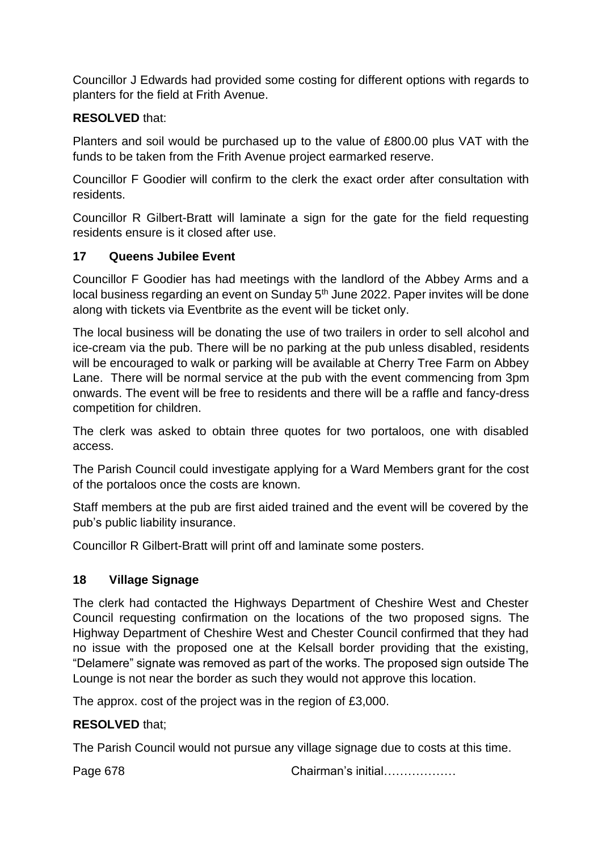Councillor J Edwards had provided some costing for different options with regards to planters for the field at Frith Avenue.

# **RESOLVED** that:

Planters and soil would be purchased up to the value of £800.00 plus VAT with the funds to be taken from the Frith Avenue project earmarked reserve.

Councillor F Goodier will confirm to the clerk the exact order after consultation with residents.

Councillor R Gilbert-Bratt will laminate a sign for the gate for the field requesting residents ensure is it closed after use.

## **17 Queens Jubilee Event**

Councillor F Goodier has had meetings with the landlord of the Abbey Arms and a local business regarding an event on Sunday 5<sup>th</sup> June 2022. Paper invites will be done along with tickets via Eventbrite as the event will be ticket only.

The local business will be donating the use of two trailers in order to sell alcohol and ice-cream via the pub. There will be no parking at the pub unless disabled, residents will be encouraged to walk or parking will be available at Cherry Tree Farm on Abbey Lane. There will be normal service at the pub with the event commencing from 3pm onwards. The event will be free to residents and there will be a raffle and fancy-dress competition for children.

The clerk was asked to obtain three quotes for two portaloos, one with disabled access.

The Parish Council could investigate applying for a Ward Members grant for the cost of the portaloos once the costs are known.

Staff members at the pub are first aided trained and the event will be covered by the pub's public liability insurance.

Councillor R Gilbert-Bratt will print off and laminate some posters.

# **18 Village Signage**

The clerk had contacted the Highways Department of Cheshire West and Chester Council requesting confirmation on the locations of the two proposed signs. The Highway Department of Cheshire West and Chester Council confirmed that they had no issue with the proposed one at the Kelsall border providing that the existing, "Delamere" signate was removed as part of the works. The proposed sign outside The Lounge is not near the border as such they would not approve this location.

The approx. cost of the project was in the region of £3,000.

## **RESOLVED** that;

The Parish Council would not pursue any village signage due to costs at this time.

Page 678 Chairman's initial………………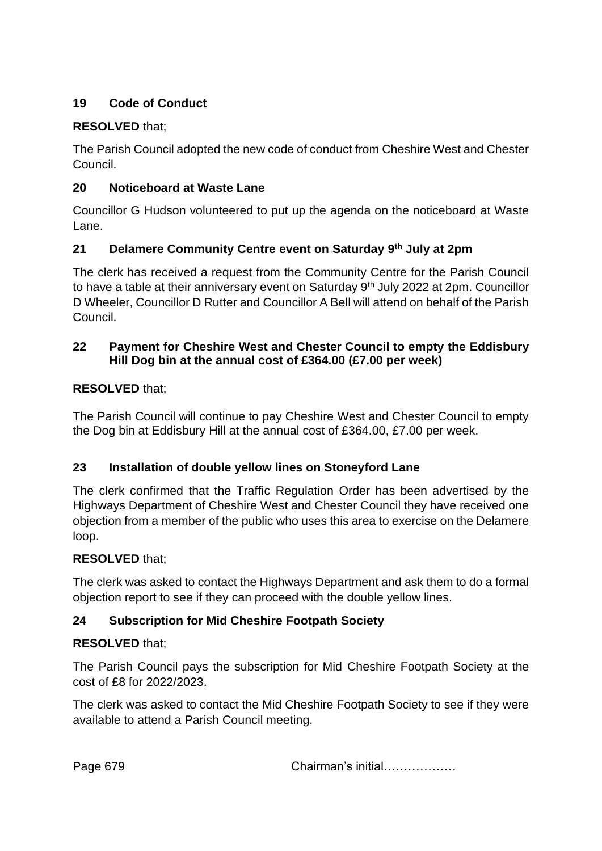# **19 Code of Conduct**

## **RESOLVED** that;

The Parish Council adopted the new code of conduct from Cheshire West and Chester Council.

## **20 Noticeboard at Waste Lane**

Councillor G Hudson volunteered to put up the agenda on the noticeboard at Waste Lane.

## **21 Delamere Community Centre event on Saturday 9th July at 2pm**

The clerk has received a request from the Community Centre for the Parish Council to have a table at their anniversary event on Saturday 9<sup>th</sup> July 2022 at 2pm. Councillor D Wheeler, Councillor D Rutter and Councillor A Bell will attend on behalf of the Parish Council.

## **22 Payment for Cheshire West and Chester Council to empty the Eddisbury Hill Dog bin at the annual cost of £364.00 (£7.00 per week)**

## **RESOLVED** that;

The Parish Council will continue to pay Cheshire West and Chester Council to empty the Dog bin at Eddisbury Hill at the annual cost of £364.00, £7.00 per week.

## **23 Installation of double yellow lines on Stoneyford Lane**

The clerk confirmed that the Traffic Regulation Order has been advertised by the Highways Department of Cheshire West and Chester Council they have received one objection from a member of the public who uses this area to exercise on the Delamere loop.

## **RESOLVED** that;

The clerk was asked to contact the Highways Department and ask them to do a formal objection report to see if they can proceed with the double yellow lines.

## **24 Subscription for Mid Cheshire Footpath Society**

# **RESOLVED** that;

The Parish Council pays the subscription for Mid Cheshire Footpath Society at the cost of £8 for 2022/2023.

The clerk was asked to contact the Mid Cheshire Footpath Society to see if they were available to attend a Parish Council meeting.

Page 679 Chairman's initial………………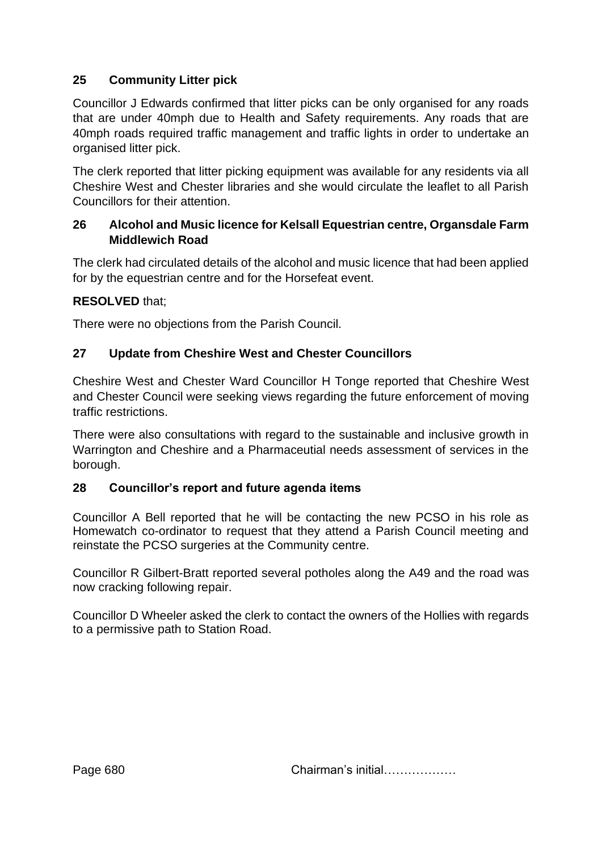## **25 Community Litter pick**

Councillor J Edwards confirmed that litter picks can be only organised for any roads that are under 40mph due to Health and Safety requirements. Any roads that are 40mph roads required traffic management and traffic lights in order to undertake an organised litter pick.

The clerk reported that litter picking equipment was available for any residents via all Cheshire West and Chester libraries and she would circulate the leaflet to all Parish Councillors for their attention.

## **26 Alcohol and Music licence for Kelsall Equestrian centre, Organsdale Farm Middlewich Road**

The clerk had circulated details of the alcohol and music licence that had been applied for by the equestrian centre and for the Horsefeat event.

## **RESOLVED** that;

There were no objections from the Parish Council.

## **27 Update from Cheshire West and Chester Councillors**

Cheshire West and Chester Ward Councillor H Tonge reported that Cheshire West and Chester Council were seeking views regarding the future enforcement of moving traffic restrictions.

There were also consultations with regard to the sustainable and inclusive growth in Warrington and Cheshire and a Pharmaceutial needs assessment of services in the borough.

#### **28 Councillor's report and future agenda items**

Councillor A Bell reported that he will be contacting the new PCSO in his role as Homewatch co-ordinator to request that they attend a Parish Council meeting and reinstate the PCSO surgeries at the Community centre.

Councillor R Gilbert-Bratt reported several potholes along the A49 and the road was now cracking following repair.

Councillor D Wheeler asked the clerk to contact the owners of the Hollies with regards to a permissive path to Station Road.